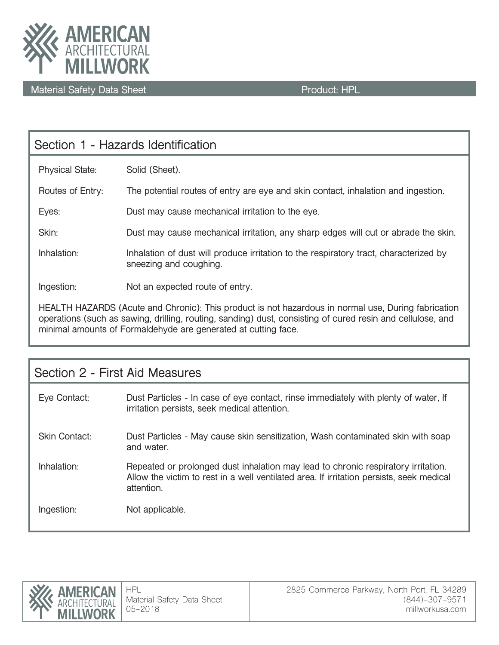

| Section 1 - Hazards Identification                                                                  |                                                                                                                 |  |  |
|-----------------------------------------------------------------------------------------------------|-----------------------------------------------------------------------------------------------------------------|--|--|
| <b>Physical State:</b>                                                                              | Solid (Sheet).                                                                                                  |  |  |
| Routes of Entry:                                                                                    | The potential routes of entry are eye and skin contact, inhalation and ingestion.                               |  |  |
| Eyes:                                                                                               | Dust may cause mechanical irritation to the eye.                                                                |  |  |
| Skin:                                                                                               | Dust may cause mechanical irritation, any sharp edges will cut or abrade the skin.                              |  |  |
| Inhalation:                                                                                         | Inhalation of dust will produce irritation to the respiratory tract, characterized by<br>sneezing and coughing. |  |  |
| Ingestion:                                                                                          | Not an expected route of entry.                                                                                 |  |  |
| HEALTH HAZARDS (Acute and Chronic): This product is not hazardous in normal use. During fabrication |                                                                                                                 |  |  |

**HEALTH HAZARDS (Acute and Chronic): This product is not hazardous in normal use, During fabrication operations (such as sawing, drilling, routing, sanding) dust, consisting of cured resin and cellulose, and minimal amounts of Formaldehyde are generated at cutting face.**

| Section 2 - First Aid Measures |                                                                                                                                                                                             |  |  |
|--------------------------------|---------------------------------------------------------------------------------------------------------------------------------------------------------------------------------------------|--|--|
| Eye Contact:                   | Dust Particles - In case of eye contact, rinse immediately with plenty of water. If<br>irritation persists, seek medical attention.                                                         |  |  |
| <b>Skin Contact:</b>           | Dust Particles - May cause skin sensitization, Wash contaminated skin with soap<br>and water.                                                                                               |  |  |
| Inhalation:                    | Repeated or prolonged dust inhalation may lead to chronic respiratory irritation.<br>Allow the victim to rest in a well ventilated area. If irritation persists, seek medical<br>attention. |  |  |
| Ingestion:                     | Not applicable.                                                                                                                                                                             |  |  |

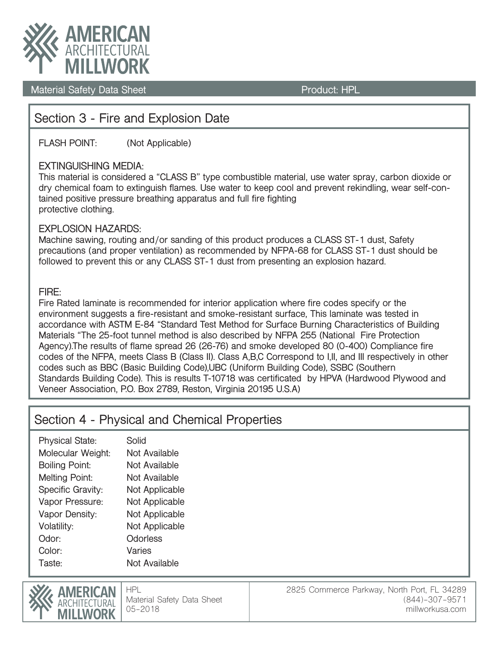

# **Section 3 - Fire and Explosion Date**

**FLASH POINT: (Not Applicable)**

### **EXTINGUISHING MEDIA:**

**This material is considered a "CLASS B" type combustible material, use water spray, carbon dioxide or dry chemical foam to extinguish flames. Use water to keep cool and prevent rekindling, wear self-contained positive pressure breathing apparatus and full fire fighting protective clothing.**

### **EXPLOSION HAZARDS:**

**Machine sawing, routing and/or sanding of this product produces a CLASS ST-1 dust, Safety precautions (and proper ventilation) as recommended by NFPA-68 for CLASS ST-1 dust should be followed to prevent this or any CLASS ST-1 dust from presenting an explosion hazard.**

### **FIRE:**

**Fire Rated laminate is recommended for interior application where fire codes specify or the environment suggests a fire-resistant and smoke-resistant surface, This laminate was tested in accordance with ASTM E-84 "Standard Test Method for Surface Burning Characteristics of Building Materials "The 25-foot tunnel method is also described by NFPA 255 (National Fire Protection Agency).The results of flame spread 26 (26-76) and smoke developed 80 (0-400) Compliance fire codes of the NFPA, meets Class B (Class II). Class A,B,C Correspond to I,II, and III respectively in other codes such as BBC (Basic Building Code),UBC (Uniform Building Code), SSBC (Southern Standards Building Code). This is results T-10718 was certificated by HPVA (Hardwood Plywood and Veneer Association, P.O. Box 2789, Reston, Virginia 20195 U.S.A)** 

## **Section 4 - Physical and Chemical Properties**

| <b>Physical State:</b> | Solid          |
|------------------------|----------------|
| Molecular Weight:      | Not Available  |
| <b>Boiling Point:</b>  | Not Available  |
| <b>Melting Point:</b>  | Not Available  |
| Specific Gravity:      | Not Applicable |
| Vapor Pressure:        | Not Applicable |
| Vapor Density:         | Not Applicable |
| Volatility:            | Not Applicable |
| Odor <sup>.</sup>      | Odorless       |
| Color:                 | Varies         |
| Taste:                 | Not Available  |
|                        |                |

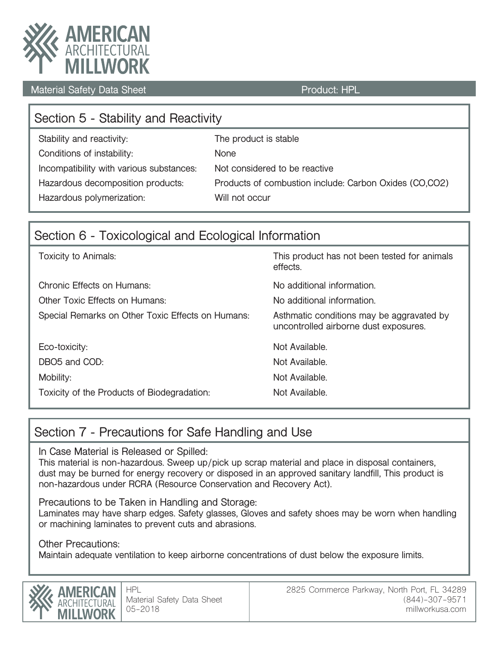

| Section 5 - Stability and Reactivity     |                                                        |  |  |  |  |
|------------------------------------------|--------------------------------------------------------|--|--|--|--|
| Stability and reactivity:                | The product is stable                                  |  |  |  |  |
| Conditions of instability:               | <b>None</b>                                            |  |  |  |  |
| Incompatibility with various substances: | Not considered to be reactive                          |  |  |  |  |
| Hazardous decomposition products:        | Products of combustion include: Carbon Oxides (CO,CO2) |  |  |  |  |
| Hazardous polymerization:                | Will not occur                                         |  |  |  |  |

# **Section 6 - Toxicological and Ecological Information**

| <b>Toxicity to Animals:</b>                       | This product has not been tested for animals<br>effects.                           |
|---------------------------------------------------|------------------------------------------------------------------------------------|
| <b>Chronic Effects on Humans:</b>                 | No additional information.                                                         |
| Other Toxic Effects on Humans:                    | No additional information.                                                         |
| Special Remarks on Other Toxic Effects on Humans: | Asthmatic conditions may be aggravated by<br>uncontrolled airborne dust exposures. |
| Eco-toxicity:                                     | Not Available.                                                                     |
| DBO5 and COD:                                     | Not Available.                                                                     |
| Mobility:                                         | Not Available.                                                                     |
| Toxicity of the Products of Biodegradation:       | Not Available.                                                                     |

# **Section 7 - Precautions for Safe Handling and Use**

**In Case Material is Released or Spilled:**

**This material is non-hazardous. Sweep up/pick up scrap material and place in disposal containers, dust may be burned for energy recovery or disposed in an approved sanitary landfill, This product is non-hazardous under RCRA (Resource Conservation and Recovery Act).**

**Precautions to be Taken in Handling and Storage:**

**Laminates may have sharp edges. Safety glasses, Gloves and safety shoes may be worn when handling or machining laminates to prevent cuts and abrasions.**

### **Other Precautions:**

**Maintain adequate ventilation to keep airborne concentrations of dust below the exposure limits.**